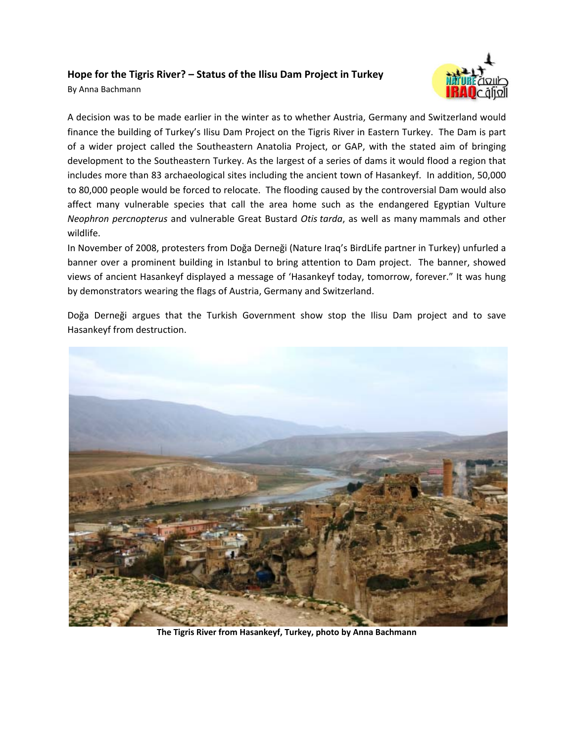## **Hope for the Tigris River? – Status of the Ilisu Dam Project in Turkey**

By Anna Bachmann



A decision was to be made earlier in the winter as to whether Austria, Germany and Switzerland would finance the building of Turkey's Ilisu Dam Project on the Tigris River in Eastern Turkey. The Dam is part of a wider project called the Southeastern Anatolia Project, or GAP, with the stated aim of bringing development to the Southeastern Turkey. As the largest of a series of dams it would flood a region that includes more than 83 archaeological sites including the ancient town of Hasankeyf. In addition, 50,000 to 80,000 people would be forced to relocate. The flooding caused by the controversial Dam would also affect many vulnerable species that call the area home such as the endangered Egyptian Vulture *Neophron percnopterus* and vulnerable Great Bustard *Otis tarda*, as well as many mammals and other wildlife.

In November of 2008, protesters from Doğa Derneği (Nature Iraq's BirdLife partner in Turkey) unfurled a banner over a prominent building in Istanbul to bring attention to Dam project. The banner, showed views of ancient Hasankeyf displayed a message of 'Hasankeyf today, tomorrow, forever." It was hung by demonstrators wearing the flags of Austria, Germany and Switzerland.

Doğa Derneği argues that the Turkish Government show stop the Ilisu Dam project and to save Hasankeyf from destruction.



**The Tigris River from Hasankeyf, Turkey, photo by Anna Bachmann**